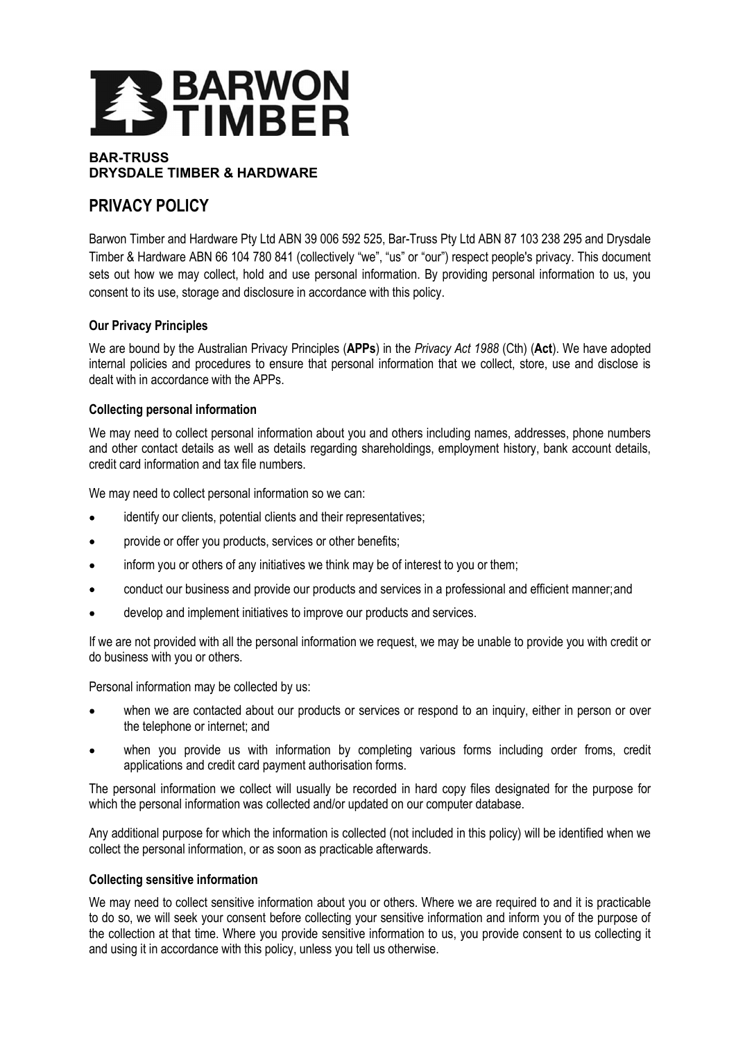

#### **BAR-TRUSS DRYSDALE TIMBER & HARDWARE**

# **PRIVACY POLICY**

Barwon Timber and Hardware Pty Ltd ABN 39 006 592 525, Bar-Truss Pty Ltd ABN 87 103 238 295 and Drysdale Timber & Hardware ABN 66 104 780 841 (collectively "we", "us" or "our") respect people's privacy. This document sets out how we may collect, hold and use personal information. By providing personal information to us, you consent to its use, storage and disclosure in accordance with this policy.

# **Our Privacy Principles**

We are bound by the Australian Privacy Principles (**APPs**) in the *Privacy Act 1988* (Cth) (**Act**). We have adopted internal policies and procedures to ensure that personal information that we collect, store, use and disclose is dealt with in accordance with the APPs.

# **Collecting personal information**

We may need to collect personal information about you and others including names, addresses, phone numbers and other contact details as well as details regarding shareholdings, employment history, bank account details, credit card information and tax file numbers.

We may need to collect personal information so we can:

- identify our clients, potential clients and their representatives;
- provide or offer you products, services or other benefits;
- inform you or others of any initiatives we think may be of interest to you or them;
- conduct our business and provide our products and services in a professional and efficient manner; and  $\bullet$
- develop and implement initiatives to improve our products and services.

If we are not provided with all the personal information we request, we may be unable to provide you with credit or do business with you or others.

Personal information may be collected by us:

- when we are contacted about our products or services or respond to an inquiry, either in person or over the telephone or internet; and
- when you provide us with information by completing various forms including order froms, credit applications and credit card payment authorisation forms.

The personal information we collect will usually be recorded in hard copy files designated for the purpose for which the personal information was collected and/or updated on our computer database.

Any additional purpose for which the information is collected (not included in this policy) will be identified when we collect the personal information, or as soon as practicable afterwards.

# **Collecting sensitive information**

We may need to collect sensitive information about you or others. Where we are required to and it is practicable to do so, we will seek your consent before collecting your sensitive information and inform you of the purpose of the collection at that time. Where you provide sensitive information to us, you provide consent to us collecting it and using it in accordance with this policy, unless you tell us otherwise.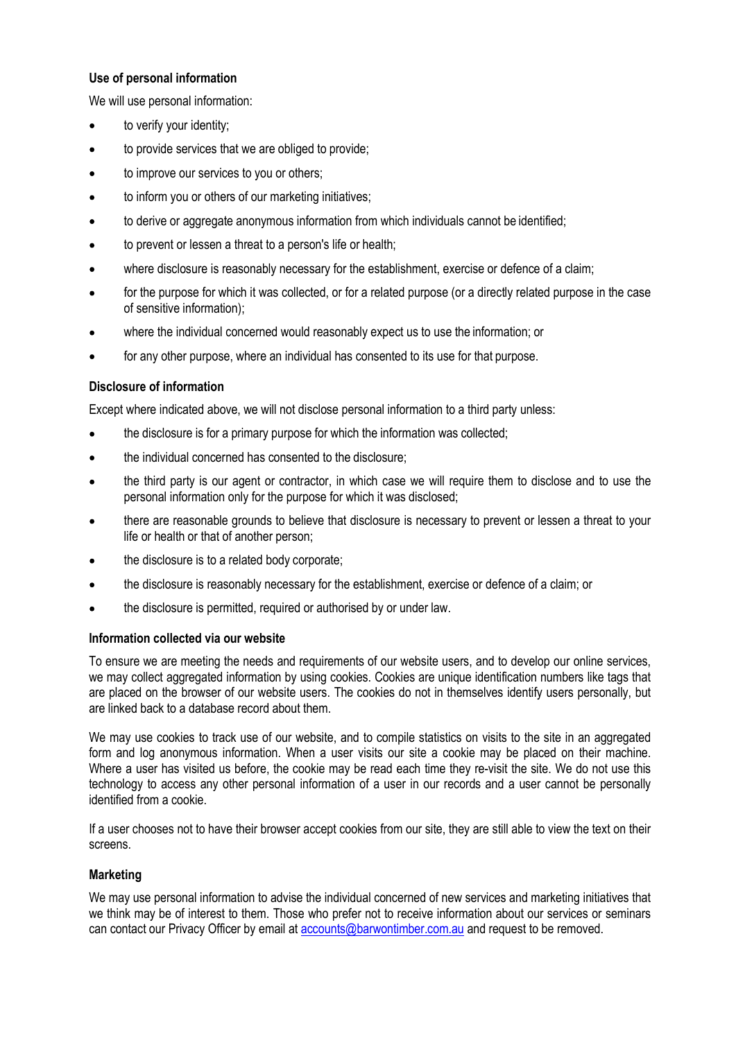## **Use of personal information**

We will use personal information:

- to verify your identity;
- to provide services that we are obliged to provide;
- to improve our services to you or others;  $\bullet$
- to inform you or others of our marketing initiatives;
- to derive or aggregate anonymous information from which individuals cannot be identified;
- to prevent or lessen a threat to a person's life or health;  $\bullet$
- where disclosure is reasonably necessary for the establishment, exercise or defence of a claim;  $\bullet$
- for the purpose for which it was collected, or for a related purpose (or a directly related purpose in the case of sensitive information);
- where the individual concerned would reasonably expect us to use the information; or
- for any other purpose, where an individual has consented to its use for that purpose.  $\bullet$

## **Disclosure of information**

Except where indicated above, we will not disclose personal information to a third party unless:

- the disclosure is for a primary purpose for which the information was collected;
- the individual concerned has consented to the disclosure;  $\bullet$
- the third party is our agent or contractor, in which case we will require them to disclose and to use the personal information only for the purpose for which it was disclosed;
- there are reasonable grounds to believe that disclosure is necessary to prevent or lessen a threat to your life or health or that of another person;
- the disclosure is to a related body corporate;  $\bullet$
- the disclosure is reasonably necessary for the establishment, exercise or defence of a claim; or
- the disclosure is permitted, required or authorised by or under law.  $\bullet$

## **Information collected via our website**

To ensure we are meeting the needs and requirements of our website users, and to develop our online services, we may collect aggregated information by using cookies. Cookies are unique identification numbers like tags that are placed on the browser of our website users. The cookies do not in themselves identify users personally, but are linked back to a database record about them.

We may use cookies to track use of our website, and to compile statistics on visits to the site in an aggregated form and log anonymous information. When a user visits our site a cookie may be placed on their machine. Where a user has visited us before, the cookie may be read each time they re-visit the site. We do not use this technology to access any other personal information of a user in our records and a user cannot be personally identified from a cookie.

If a user chooses not to have their browser accept cookies from our site, they are still able to view the text on their screens.

## **Marketing**

We may use personal information to advise the individual concerned of new services and marketing initiatives that we think may be of interest to them. Those who prefer not to receive information about our services or seminars can contact our Privacy Officer by email at accounts@barwontimber.com.au and request to be removed.